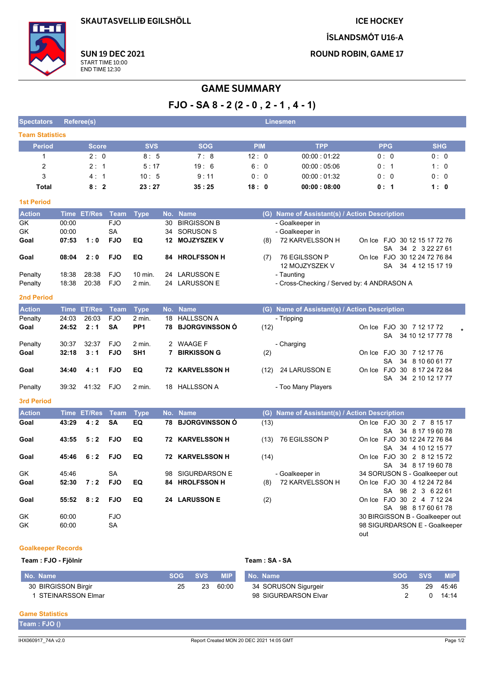**SKAUTASVELLIÐ EGILSHÖLL** 

**ICE HOCKEY** 

ÍSLANDSMÓT U16-A

**ROUND ROBIN, GAME 17** 



**SUN 19 DEC 2021** START TIME 10:00<br>END TIME 12:30

# **GAME SUMMARY**

 $FJO - SA 8 - 2(2 - 0, 2 - 1, 4 - 1)$ 

| <b>Spectators</b>      | Referee(s)  |               |            |                 |    |                        |            |      | <b>Linesmen</b>                               |                 |                                                                     |
|------------------------|-------------|---------------|------------|-----------------|----|------------------------|------------|------|-----------------------------------------------|-----------------|---------------------------------------------------------------------|
| <b>Team Statistics</b> |             |               |            |                 |    |                        |            |      |                                               |                 |                                                                     |
| <b>Period</b>          |             | <b>Score</b>  |            | <b>SVS</b>      |    | <b>SOG</b>             | <b>PIM</b> |      | <b>TPP</b>                                    | <b>PPG</b>      | <b>SHG</b>                                                          |
| 1                      |             | 2:0           |            | 8:5             |    | 7:8                    | 12:0       |      | 00:00:01:22                                   | 0: 0            | 0:0                                                                 |
| 2                      |             | 2:1           |            | 5:17            |    | 19:6                   | 6:0        |      | 00:00:05:06                                   | 0:1             | 1:0                                                                 |
| 3                      |             | 4:1           |            | 10:5            |    | 9:11                   | 0:0        |      | 00:00:01:32                                   | 0:0             | 0:0                                                                 |
| Total                  |             | 8:2           |            | 23:27           |    | 35:25                  | 18:0       |      | 00:00:08:00                                   | 0:1             | 1:0                                                                 |
| <b>1st Period</b>      |             |               |            |                 |    |                        |            |      |                                               |                 |                                                                     |
| <b>Action</b>          |             | Time ET/Res   | Team       | <b>Type</b>     |    | No. Name               |            |      | (G) Name of Assistant(s) / Action Description |                 |                                                                     |
| GK                     | 00:00       |               | <b>FJO</b> |                 | 30 | <b>BIRGISSON B</b>     |            |      | - Goalkeeper in                               |                 |                                                                     |
| GK                     | 00:00       |               | <b>SA</b>  |                 | 34 | <b>SORUSON S</b>       |            |      | - Goalkeeper in                               |                 |                                                                     |
| Goal                   | 07:53       | 1:0           | <b>FJO</b> | EQ              | 12 | <b>MOJZYSZEK V</b>     |            | (8)  | 72 KARVELSSON H                               |                 | On Ice FJO 30 12 15 17 72 76                                        |
| Goal                   | 08:04       | 2:0           | <b>FJO</b> | EQ              |    | 84 HROLFSSON H         |            | (7)  | 76 EGILSSON P<br>12 MOJZYSZEK V               | <b>SA</b><br>SA | 34 2 3 22 27 61<br>On Ice FJO 30 12 24 72 76 84<br>34 4 12 15 17 19 |
| Penalty                | 18:38       | 28:38         | <b>FJO</b> | 10 min.         |    | 24 LARUSSON E          |            |      | - Taunting                                    |                 |                                                                     |
| Penalty                | 18:38       | 20:38         | <b>FJO</b> | 2 min.          |    | 24 LARUSSON E          |            |      | - Cross-Checking / Served by: 4 ANDRASON A    |                 |                                                                     |
| <b>2nd Period</b>      |             |               |            |                 |    |                        |            |      |                                               |                 |                                                                     |
| <b>Action</b>          | <b>Time</b> | <b>ET/Res</b> | Team       | <b>Type</b>     |    | No. Name               |            |      | (G) Name of Assistant(s) / Action Description |                 |                                                                     |
| Penalty                | 24:03       | 26:03         | <b>FJO</b> | 2 min.          | 18 | <b>HALLSSON A</b>      |            |      | - Tripping                                    |                 |                                                                     |
| Goal                   | 24:52       | 2:1           | SA         | PP <sub>1</sub> |    | 78 BJORGVINSSON Ó      |            | (12) |                                               |                 | On Ice FJO 30 7 12 17 72                                            |
| Penalty                | 30:37       | 32:37         | <b>FJO</b> | 2 min.          |    | 2 WAAGE F              |            |      | - Charging                                    | SA              | 34 10 12 17 77 78                                                   |
| Goal                   | 32:18       | 3:1           | <b>FJO</b> | SH <sub>1</sub> |    | 7 BIRKISSON G          |            | (2)  |                                               |                 | On Ice FJO 30 7 12 17 76                                            |
|                        |             |               |            |                 |    |                        |            |      |                                               | SA              | 34 8 10 60 61 77                                                    |
| Goal                   | 34:40       | 4:1           | <b>FJO</b> | EQ              |    | <b>72 KARVELSSON H</b> |            | (12) | 24 LARUSSON E                                 | On Ice FJO      | 30 8 17 24 72 84                                                    |
|                        |             |               |            |                 |    |                        |            |      |                                               | SA              | 34 2 10 12 17 77                                                    |
| Penalty                | 39:32       | 41:32         | <b>FJO</b> | 2 min.          | 18 | <b>HALLSSON A</b>      |            |      | - Too Many Players                            |                 |                                                                     |
| <b>3rd Period</b>      |             |               |            |                 |    |                        |            |      |                                               |                 |                                                                     |
| <b>Action</b>          |             | Time ET/Res   | Team       | <b>Type</b>     |    | No. Name               |            |      | (G) Name of Assistant(s) / Action Description |                 |                                                                     |
| Goal                   | 43:29       | 4:2           | <b>SA</b>  | EQ              |    | 78 BJORGVINSSON Ó      |            | (13) |                                               |                 | On Ice FJO 30 2 7 8 15 17                                           |
| Goal                   | 43:55       | 5:2           | <b>FJO</b> | EQ              |    | <b>72 KARVELSSON H</b> |            | (13) | 76 EGILSSON P                                 | SA              | 34 8 17 19 60 78<br>On Ice FJO 30 12 24 72 76 84                    |
|                        |             |               |            |                 |    |                        |            |      |                                               | SA              | 34 4 10 12 15 77                                                    |
| Goal                   | 45:46       | 6:2           | <b>FJO</b> | EQ              |    | <b>72 KARVELSSON H</b> |            | (14) |                                               |                 | On Ice FJO 30 2 8 12 15 72                                          |
|                        |             |               |            |                 |    |                        |            |      |                                               | SA              | 34 8 17 19 60 78                                                    |
| GK                     | 45:46       |               | SА         |                 |    | 98 SIGURÐARSON E       |            |      | - Goalkeeper in                               |                 | 34 SORUSON S - Goalkeeper out                                       |
| Goal                   | 52:30       | 7:2           | <b>FJO</b> | EQ              |    | 84 HROLFSSON H         |            | (8)  | 72 KARVELSSON H                               |                 | On Ice FJO 30 4 12 24 72 84<br>SA 98 2 3 6 2 2 6 1                  |
| Goal                   | 55:52       | 8:2           | <b>FJO</b> | EQ              |    | 24 LARUSSON E          |            | (2)  |                                               |                 | On Ice FJO 30 2 4 7 12 24                                           |
|                        |             |               |            |                 |    |                        |            |      |                                               |                 | SA 98 8 17 60 61 78                                                 |
| GK                     | 60:00       |               | <b>FJO</b> |                 |    |                        |            |      |                                               |                 | 30 BIRGISSON B - Goalkeeper out                                     |
| GK                     | 60:00       |               | SA         |                 |    |                        |            |      |                                               |                 | 98 SIGURÐARSON E - Goalkeeper                                       |
|                        |             |               |            |                 |    |                        |            |      |                                               | out             |                                                                     |

#### **Goalkeeper Records** Team : FJO - Fiölnir

| Team : FJO - Fjölnir |    |         | Team: SA - SA |                      |            |            |            |  |  |  |  |
|----------------------|----|---------|---------------|----------------------|------------|------------|------------|--|--|--|--|
| No. Name             |    | SOG SVS | <b>MIP</b>    | No. Name             | <b>SOG</b> | <b>SVS</b> | <b>MIP</b> |  |  |  |  |
| 30 BIRGISSON Birgir  | 25 | 23      | 60:00         | 34 SORUSON Sigurgeir | 35         | 29         | 45.46      |  |  |  |  |
| STEINARSSON Elmar    |    |         |               | 98 SIGURÐARSON Elvar |            |            | 14:14      |  |  |  |  |

# **Game Statistics**

Team : FJO ()